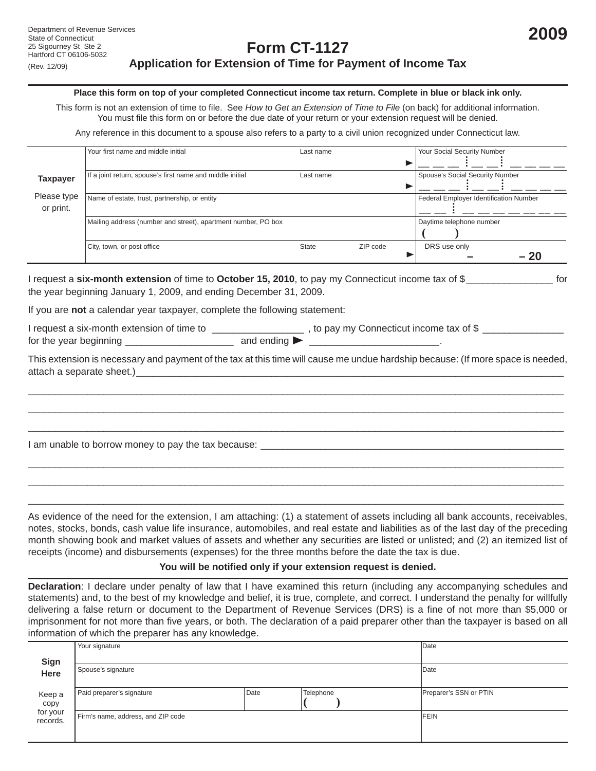# **Form CT-1127 Application for Extension of Time for Payment of Income Tax**

#### **Place this form on top of your completed Connecticut income tax return. Complete in blue or black ink only.**

This form is not an extension of time to file. See *How to Get an Extension of Time to File* (on back) for additional information. You must file this form on or before the due date of your return or your extension request will be denied.

Any reference in this document to a spouse also refers to a party to a civil union recognized under Connecticut law.

|                                             | Your first name and middle initial                                                                                                                                       | Last name    |          | Your Social Security Number            |
|---------------------------------------------|--------------------------------------------------------------------------------------------------------------------------------------------------------------------------|--------------|----------|----------------------------------------|
|                                             |                                                                                                                                                                          |              |          |                                        |
| <b>Taxpayer</b><br>Please type<br>or print. | If a joint return, spouse's first name and middle initial                                                                                                                | Last name    |          | Spouse's Social Security Number        |
|                                             | Name of estate, trust, partnership, or entity                                                                                                                            |              |          | Federal Employer Identification Number |
|                                             | Mailing address (number and street), apartment number, PO box                                                                                                            |              |          | Daytime telephone number               |
|                                             | City, town, or post office                                                                                                                                               | <b>State</b> | ZIP code | DRS use only<br>- 20                   |
|                                             | I request a six-month extension of time to October 15, 2010, to pay my Connecticut income tax of \$<br>the year beginning January 1, 2009, and ending December 31, 2009. |              |          |                                        |
|                                             | If you are not a color day year toways complete the following statement:                                                                                                 |              |          |                                        |

If you are **not** a calendar year taxpayer, complete the following statement:

I request a six-month extension of time to \_\_\_\_\_\_\_\_\_\_\_\_\_\_\_\_\_\_\_\_, to pay my Connecticut income tax of \$ \_\_\_\_\_\_\_\_\_\_\_\_\_ for the year beginning  $\Box$  and ending  $\blacktriangleright$ 

This extension is necessary and payment of the tax at this time will cause me undue hardship because: (If more space is needed, attach a separate sheet.)

\_\_\_\_\_\_\_\_\_\_\_\_\_\_\_\_\_\_\_\_\_\_\_\_\_\_\_\_\_\_\_\_\_\_\_\_\_\_\_\_\_\_\_\_\_\_\_\_\_\_\_\_\_\_\_\_\_\_\_\_\_\_\_\_\_\_\_\_\_\_\_\_\_\_\_\_\_\_\_\_\_\_\_\_\_\_\_\_\_\_\_\_\_\_\_\_\_\_\_ \_\_\_\_\_\_\_\_\_\_\_\_\_\_\_\_\_\_\_\_\_\_\_\_\_\_\_\_\_\_\_\_\_\_\_\_\_\_\_\_\_\_\_\_\_\_\_\_\_\_\_\_\_\_\_\_\_\_\_\_\_\_\_\_\_\_\_\_\_\_\_\_\_\_\_\_\_\_\_\_\_\_\_\_\_\_\_\_\_\_\_\_\_\_\_\_\_\_\_ \_\_\_\_\_\_\_\_\_\_\_\_\_\_\_\_\_\_\_\_\_\_\_\_\_\_\_\_\_\_\_\_\_\_\_\_\_\_\_\_\_\_\_\_\_\_\_\_\_\_\_\_\_\_\_\_\_\_\_\_\_\_\_\_\_\_\_\_\_\_\_\_\_\_\_\_\_\_\_\_\_\_\_\_\_\_\_\_\_\_\_\_\_\_\_\_\_\_\_

\_\_\_\_\_\_\_\_\_\_\_\_\_\_\_\_\_\_\_\_\_\_\_\_\_\_\_\_\_\_\_\_\_\_\_\_\_\_\_\_\_\_\_\_\_\_\_\_\_\_\_\_\_\_\_\_\_\_\_\_\_\_\_\_\_\_\_\_\_\_\_\_\_\_\_\_\_\_\_\_\_\_\_\_\_\_\_\_\_\_\_\_\_\_\_\_\_\_\_ \_\_\_\_\_\_\_\_\_\_\_\_\_\_\_\_\_\_\_\_\_\_\_\_\_\_\_\_\_\_\_\_\_\_\_\_\_\_\_\_\_\_\_\_\_\_\_\_\_\_\_\_\_\_\_\_\_\_\_\_\_\_\_\_\_\_\_\_\_\_\_\_\_\_\_\_\_\_\_\_\_\_\_\_\_\_\_\_\_\_\_\_\_\_\_\_\_\_\_ \_\_\_\_\_\_\_\_\_\_\_\_\_\_\_\_\_\_\_\_\_\_\_\_\_\_\_\_\_\_\_\_\_\_\_\_\_\_\_\_\_\_\_\_\_\_\_\_\_\_\_\_\_\_\_\_\_\_\_\_\_\_\_\_\_\_\_\_\_\_\_\_\_\_\_\_\_\_\_\_\_\_\_\_\_\_\_\_\_\_\_\_\_\_\_\_\_\_\_

I am unable to borrow money to pay the tax because: \_\_\_\_\_\_\_\_\_\_\_\_\_\_\_\_\_\_\_\_\_\_\_\_\_\_\_\_\_

As evidence of the need for the extension, I am attaching: (1) a statement of assets including all bank accounts, receivables, notes, stocks, bonds, cash value life insurance, automobiles, and real estate and liabilities as of the last day of the preceding month showing book and market values of assets and whether any securities are listed or unlisted; and (2) an itemized list of receipts (income) and disbursements (expenses) for the three months before the date the tax is due.

### You will be notified only if your extension request is denied.

**Declaration**: I declare under penalty of law that I have examined this return (including any accompanying schedules and statements) and, to the best of my knowledge and belief, it is true, complete, and correct. I understand the penalty for willfully delivering a false return or document to the Department of Revenue Services (DRS) is a fine of not more than \$5,000 or imprisonment for not more than five years, or both. The declaration of a paid preparer other than the taxpayer is based on all information of which the preparer has any knowledge.

|                                        | Your signature                     |      | Date      |                        |
|----------------------------------------|------------------------------------|------|-----------|------------------------|
| Sign<br>Here                           | Spouse's signature                 | Date |           |                        |
| Keep a<br>copy<br>for your<br>records. | Paid preparer's signature          | Date | Telephone | Preparer's SSN or PTIN |
|                                        | Firm's name, address, and ZIP code | FEIN |           |                        |